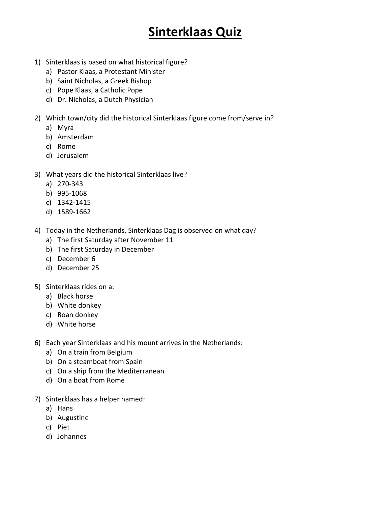## **Sinterklaas Quiz**

- 1) Sinterklaas is based on what historical figure?
	- a) Pastor Klaas, a Protestant Minister
	- b) Saint Nicholas, a Greek Bishop
	- c) Pope Klaas, a Catholic Pope
	- d) Dr. Nicholas, a Dutch Physician
- 2) Which town/city did the historical Sinterklaas figure come from/serve in?
	- a) Myra
	- b) Amsterdam
	- c) Rome
	- d) Jerusalem
- 3) What years did the historical Sinterklaas live?
	- a) 270-343
	- b) 995-1068
	- c) 1342-1415
	- d) 1589-1662
- 4) Today in the Netherlands, Sinterklaas Dag is observed on what day?
	- a) The first Saturday after November 11
	- b) The first Saturday in December
	- c) December 6
	- d) December 25
- 5) Sinterklaas rides on a:
	- a) Black horse
	- b) White donkey
	- c) Roan donkey
	- d) White horse
- 6) Each year Sinterklaas and his mount arrives in the Netherlands:
	- a) On a train from Belgium
	- b) On a steamboat from Spain
	- c) On a ship from the Mediterranean
	- d) On a boat from Rome
- 7) Sinterklaas has a helper named:
	- a) Hans
	- b) Augustine
	- c) Piet
	- d) Johannes